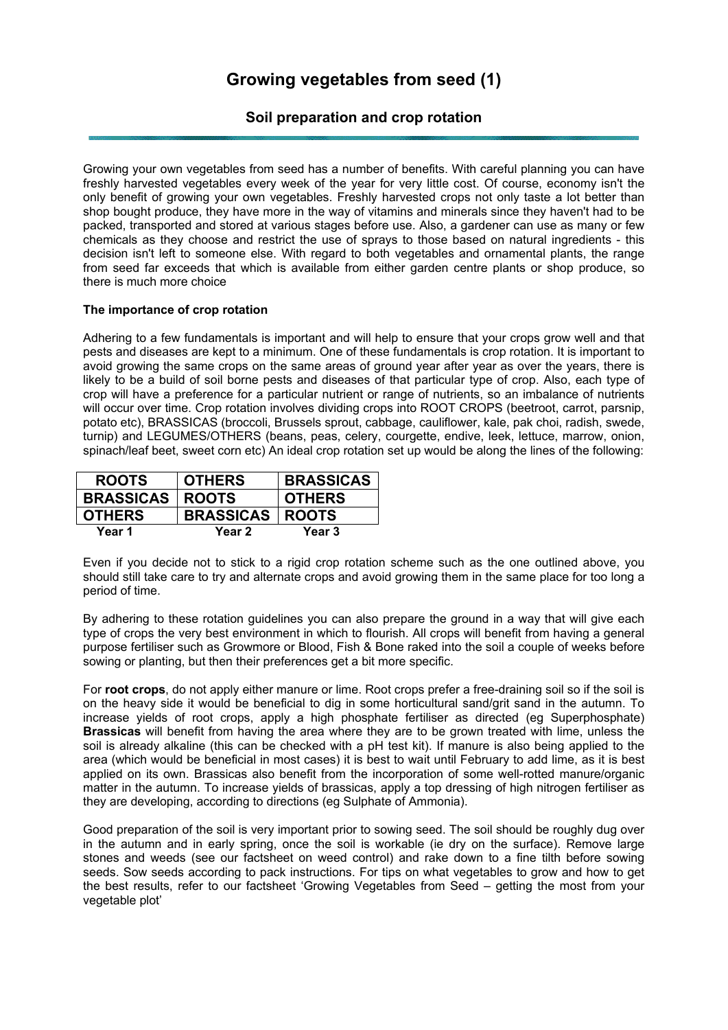## **Growing vegetables from seed (1)**

## **Soil preparation and crop rotation**

Growing your own vegetables from seed has a number of benefits. With careful planning you can have freshly harvested vegetables every week of the year for very little cost. Of course, economy isn't the only benefit of growing your own vegetables. Freshly harvested crops not only taste a lot better than shop bought produce, they have more in the way of vitamins and minerals since they haven't had to be packed, transported and stored at various stages before use. Also, a gardener can use as many or few chemicals as they choose and restrict the use of sprays to those based on natural ingredients - this decision isn't left to someone else. With regard to both vegetables and ornamental plants, the range from seed far exceeds that which is available from either garden centre plants or shop produce, so there is much more choice

## **The importance of crop rotation**

Adhering to a few fundamentals is important and will help to ensure that your crops grow well and that pests and diseases are kept to a minimum. One of these fundamentals is crop rotation. It is important to avoid growing the same crops on the same areas of ground year after year as over the years, there is likely to be a build of soil borne pests and diseases of that particular type of crop. Also, each type of crop will have a preference for a particular nutrient or range of nutrients, so an imbalance of nutrients will occur over time. Crop rotation involves dividing crops into ROOT CROPS (beetroot, carrot, parsnip, potato etc), BRASSICAS (broccoli, Brussels sprout, cabbage, cauliflower, kale, pak choi, radish, swede, turnip) and LEGUMES/OTHERS (beans, peas, celery, courgette, endive, leek, lettuce, marrow, onion, spinach/leaf beet, sweet corn etc) An ideal crop rotation set up would be along the lines of the following:

| <b>ROOTS</b>             | <b>OTHERS</b>            | <b>BRASSICAS</b> |
|--------------------------|--------------------------|------------------|
| <b>BRASSICAS   ROOTS</b> |                          | <b>OTHERS</b>    |
| <b>OTHERS</b>            | <b>BRASSICAS   ROOTS</b> |                  |
| Year 1                   | Year 2                   | Year 3           |

Even if you decide not to stick to a rigid crop rotation scheme such as the one outlined above, you should still take care to try and alternate crops and avoid growing them in the same place for too long a period of time.

By adhering to these rotation guidelines you can also prepare the ground in a way that will give each type of crops the very best environment in which to flourish. All crops will benefit from having a general purpose fertiliser such as Growmore or Blood, Fish & Bone raked into the soil a couple of weeks before sowing or planting, but then their preferences get a bit more specific.

For **root crops**, do not apply either manure or lime. Root crops prefer a free-draining soil so if the soil is on the heavy side it would be beneficial to dig in some horticultural sand/grit sand in the autumn. To increase yields of root crops, apply a high phosphate fertiliser as directed (eg Superphosphate) **Brassicas** will benefit from having the area where they are to be grown treated with lime, unless the soil is already alkaline (this can be checked with a pH test kit). If manure is also being applied to the area (which would be beneficial in most cases) it is best to wait until February to add lime, as it is best applied on its own. Brassicas also benefit from the incorporation of some well-rotted manure/organic matter in the autumn. To increase yields of brassicas, apply a top dressing of high nitrogen fertiliser as they are developing, according to directions (eg Sulphate of Ammonia).

Good preparation of the soil is very important prior to sowing seed. The soil should be roughly dug over in the autumn and in early spring, once the soil is workable (ie dry on the surface). Remove large stones and weeds (see our factsheet on weed control) and rake down to a fine tilth before sowing seeds. Sow seeds according to pack instructions. For tips on what vegetables to grow and how to get the best results, refer to our factsheet 'Growing Vegetables from Seed – getting the most from your vegetable plot'